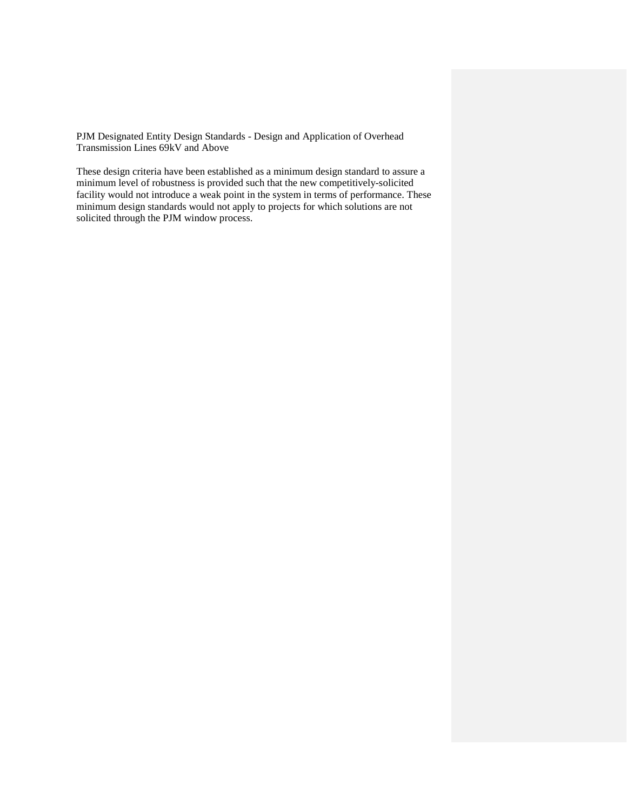PJM Designated Entity Design Standards - Design and Application of Overhead Transmission Lines 69kV and Above

These design criteria have been established as a minimum design standard to assure a minimum level of robustness is provided such that the new competitively-solicited facility would not introduce a weak point in the system in terms of performance. These minimum design standards would not apply to projects for which solutions are not solicited through the PJM window process.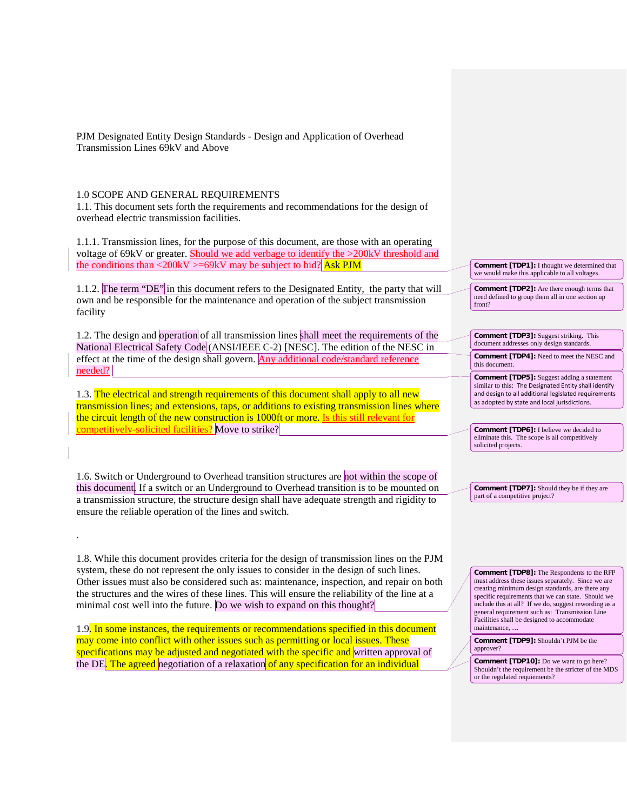PJM Designated Entity Design Standards - Design and Application of Overhead Transmission Lines 69kV and Above

## 1.0 SCOPE AND GENERAL REQUIREMENTS

.

1.1. This document sets forth the requirements and recommendations for the design of overhead electric transmission facilities.

1.1.1. Transmission lines, for the purpose of this document, are those with an operating voltage of 69kV or greater. Should we add verbage to identify the >200kV threshold and the conditions than <200kV >=69kV may be subject to bid? Ask PJM

1.1.2. The term "DE" in this document refers to the Designated Entity, the party that will own and be responsible for the maintenance and operation of the subject transmission facility

1.2. The design and operation of all transmission lines shall meet the requirements of the National Electrical Safety Code (ANSI/IEEE C-2) [NESC]. The edition of the NESC in effect at the time of the design shall govern. Any additional code/standard reference needed?

1.3. The electrical and strength requirements of this document shall apply to all new transmission lines; and extensions, taps, or additions to existing transmission lines where the circuit length of the new construction is 1000ft or more. Is this still relevant for competitively-solicited facilities? Move to strike?

1.6. Switch or Underground to Overhead transition structures are not within the scope of this document. If a switch or an Underground to Overhead transition is to be mounted on a transmission structure, the structure design shall have adequate strength and rigidity to ensure the reliable operation of the lines and switch.

1.8. While this document provides criteria for the design of transmission lines on the PJM system, these do not represent the only issues to consider in the design of such lines. Other issues must also be considered such as: maintenance, inspection, and repair on both the structures and the wires of these lines. This will ensure the reliability of the line at a minimal cost well into the future. Do we wish to expand on this thought?

1.9. In some instances, the requirements or recommendations specified in this document may come into conflict with other issues such as permitting or local issues. These specifications may be adjusted and negotiated with the specific and written approval of the DE. The agreed negotiation of a relaxation of any specification for an individual

**Comment [TDP1]:** I thought we determined that we would make this applicable to all voltages.

**Comment [TDP2]:** Are there enough terms that need defined to group them all in one section up front?

**Comment [TDP3]:** Suggest striking. This document addresses only design standards.

**Comment [TDP4]:** Need to meet the NESC and this document.

**Comment [TDP5]:** Suggest adding a statement similar to this: The Designated Entity shall identify and design to all additional legislated requirements as adopted by state and local jurisdictions.

**Comment [TDP6]:** I believe we decided to eliminate this. The scope is all competitively solicited projects.

**Comment [TDP7]:** Should they be if they are part of a competitive project?

**Comment [TDP8]:** The Respondents to the RFP must address these issues separately. Since we are creating minimum design standards, are there any specific requirements that we can state. Should we include this at all? If we do, suggest rewording as a general requirement such as: Transmission Line Facilities shall be designed to accommodate maintenance, …

**Comment [TDP9]:** Shouldn't PJM be the approver?

**Comment [TDP10]:** Do we want to go here? Shouldn't the requirement be the stricter of the MDS or the regulated requiements?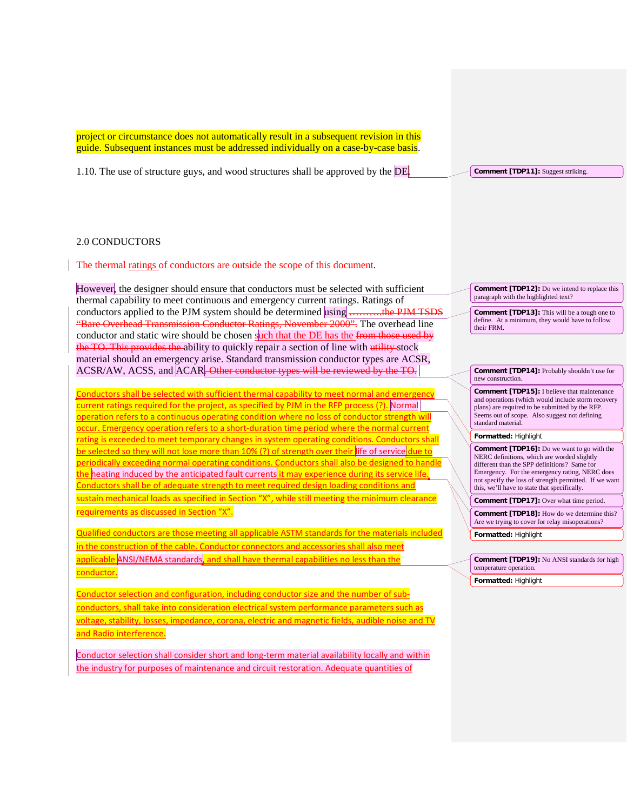project or circumstance does not automatically result in a subsequent revision in this guide. Subsequent instances must be addressed individually on a case-by-case basis.

1.10. The use of structure guys, and wood structures shall be approved by the DE.

**Comment [TDP11]:** Suggest striking.

## 2.0 CONDUCTORS

The thermal ratings of conductors are outside the scope of this document.

However, the designer should ensure that conductors must be selected with sufficient thermal capability to meet continuous and emergency current ratings. Ratings of conductors applied to the PJM system should be determined using conductors applied to the PJM system should be determined using  $\frac{1}{\sqrt{1-\epsilon}}$ "Bare Overhead Transmission Conductor Ratings, November 2000". The overhead line conductor and static wire should be chosen such that the DE has the from those used by the TO. This provides the ability to quickly repair a section of line with utility stock material should an emergency arise. Standard transmission conductor types are ACSR, ACSR/AW, ACSS, and ACAR. Other conductor types will be reviewed by the TO.

Conductors shall be selected with sufficient thermal capability to meet normal and emergency current ratings required for the project, as specified by PJM in the RFP process (?). Normal operation refers to a continuous operating condition where no loss of conductor strength will occur. Emergency operation refers to a short-duration time period where the normal current rating is exceeded to meet temporary changes in system operating conditions. Conductors shall be selected so they will not lose more than 10% (?) of strength over their life of service due to periodically exceeding normal operating conditions. Conductors shall also be designed to handle the heating induced by the anticipated fault currents it may experience during its service life. Conductors shall be of adequate strength to meet required design loading conditions and sustain mechanical loads as specified in Section "X", while still meeting the minimum clearance requirements as discussed in Section "X".

Qualified conductors are those meeting all applicable ASTM standards for the materials included in the construction of the cable. Conductor connectors and accessories shall also meet applicable ANSI/NEMA standards, and shall have thermal capabilities no less than the conductor.

Conductor selection and configuration, including conductor size and the number of subconductors, shall take into consideration electrical system performance parameters such as voltage, stability, losses, impedance, corona, electric and magnetic fields, audible noise and TV and Radio interference.

Conductor selection shall consider short and long-term material availability locally and within the industry for purposes of maintenance and circuit restoration. Adequate quantities of

**Comment [TDP12]:** Do we intend to replace this paragraph with the highlighted text?

**Comment [TDP13]:** This will be a tough one to define. At a minimum, they would have to follow their FRM.

**Comment [TDP14]:** Probably shouldn't use for new construction.

**Comment [TDP15]:** I believe that maintenance and operations (which would include storm recovery plans) are required to be submitted by the RFP. Seems out of scope. Also suggest not defining standard material.

#### **Formatted:** Highlight

**Comment [TDP16]:** Do we want to go with the NERC definitions, which are worded slightly different than the SPP definitions? Same for Emergency. For the emergency rating, NERC does not specify the loss of strength permitted. If we want this, we'll have to state that specifically.

**Comment [TDP17]:** Over what time period.

**Comment [TDP18]:** How do we determine this? Are we trying to cover for relay misoperations?

**Formatted:** Highlight

**Comment [TDP19]:** No ANSI standards for high temperature operation. **Formatted:** Highlight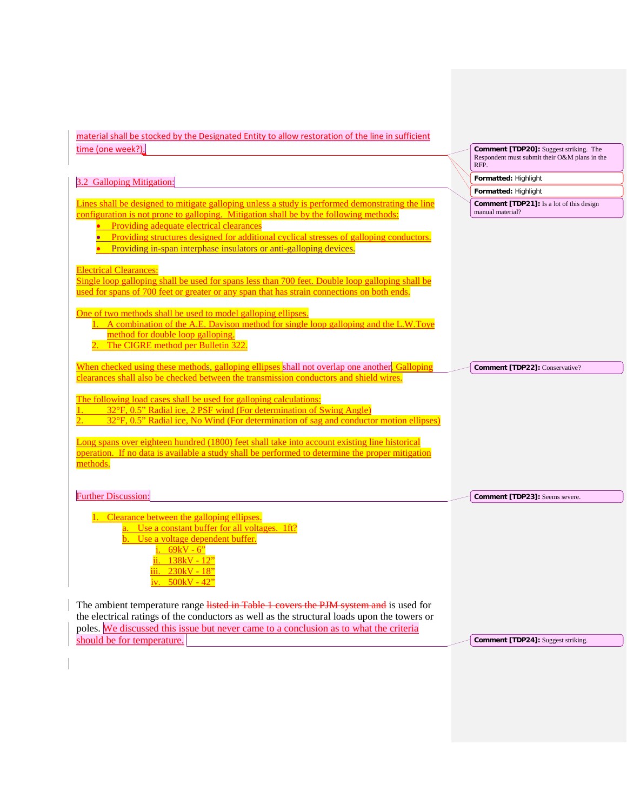| material shall be stocked by the Designated Entity to allow restoration of the line in sufficient                                                                                                                                                                                                                                   |                                                                                                 |
|-------------------------------------------------------------------------------------------------------------------------------------------------------------------------------------------------------------------------------------------------------------------------------------------------------------------------------------|-------------------------------------------------------------------------------------------------|
| time (one week?).                                                                                                                                                                                                                                                                                                                   | Comment [TDP20]: Suggest striking. The<br>Respondent must submit their O&M plans in the<br>RFP. |
| 3.2 Galloping Mitigation:                                                                                                                                                                                                                                                                                                           | Formatted: Highlight                                                                            |
|                                                                                                                                                                                                                                                                                                                                     | Formatted: Highlight                                                                            |
| Lines shall be designed to mitigate galloping unless a study is performed demonstrating the line<br>configuration is not prone to galloping. Mitigation shall be by the following methods:<br>Providing adequate electrical clearances<br>• Providing structures designed for additional cyclical stresses of galloping conductors. | <b>Comment [TDP21]:</b> Is a lot of this design<br>manual material?                             |
| Providing in-span interphase insulators or anti-galloping devices.<br><b>Electrical Clearances:</b><br>Single loop galloping shall be used for spans less than 700 feet. Double loop galloping shall be<br>used for spans of 700 feet or greater or any span that has strain connections on both ends.                              |                                                                                                 |
| One of two methods shall be used to model galloping ellipses.<br>1. A combination of the A.E. Davison method for single loop galloping and the L.W.Toye<br>method for double loop galloping.<br>2. The CIGRE method per Bulletin 322.                                                                                               |                                                                                                 |
| When checked using these methods, galloping ellipses shall not overlap one another. Galloping<br>clearances shall also be checked between the transmission conductors and shield wires.                                                                                                                                             | Comment [TDP22]: Conservative?                                                                  |
| The following load cases shall be used for galloping calculations:<br>32°F, 0.5" Radial ice, 2 PSF wind (For determination of Swing Angle)<br>32°F, 0.5" Radial ice, No Wind (For determination of sag and conductor motion ellipses)                                                                                               |                                                                                                 |
| Long spans over eighteen hundred (1800) feet shall take into account existing line historical<br>operation. If no data is available a study shall be performed to determine the proper mitigation<br>methods.                                                                                                                       |                                                                                                 |
| <b>Further Discussion:</b>                                                                                                                                                                                                                                                                                                          | Comment [TDP23]: Seems severe.                                                                  |
| Clearance between the galloping ellipses.<br>Use a constant buffer for all voltages. 1ft?<br>Use a voltage dependent buffer.<br>$69kV - 6$<br>$138kV - 12$<br>$230kV - 18$<br>iv. $500kV - 42$                                                                                                                                      |                                                                                                 |
| The ambient temperature range listed in Table 1 covers the PJM system and is used for<br>the electrical ratings of the conductors as well as the structural loads upon the towers or<br>poles. We discussed this issue but never came to a conclusion as to what the criteria                                                       |                                                                                                 |

**Comment [TDP24]:** Suggest striking.

should be for temperature.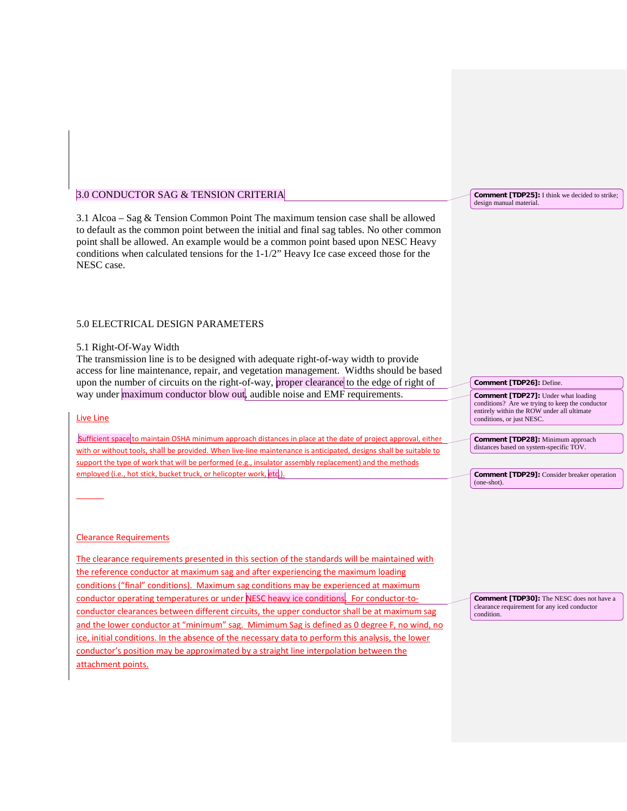# 3.1 Alcoa – Sag & Tension Common Point The maximum tension case shall be allowed to default as the common point between the initial and final sag tables. No other common point shall be allowed. An example would be a common point based upon NESC Heavy conditions when calculated tensions for the 1-1/2" Heavy Ice case exceed those for the NESC case.

## 5.0 ELECTRICAL DESIGN PARAMETERS

3.0 CONDUCTOR SAG & TENSION CRITERIA

## 5.1 Right-Of-Way Width

The transmission line is to be designed with adequate right-of-way width to provide access for line maintenance, repair, and vegetation management. Widths should be based upon the number of circuits on the right-of-way, proper clearance to the edge of right of way under maximum conductor blow out, audible noise and EMF requirements.

### Live Line

Sufficient space to maintain OSHA minimum approach distances in place at the date of project approval, either with or without tools, shall be provided. When live-line maintenance is anticipated, designs shall be suitable to support the type of work that will be performed (e.g., insulator assembly replacement) and the methods employed (i.e., hot stick, bucket truck, or helicopter work, etc.)

#### Clearance Requirements

The clearance requirements presented in this section of the standards will be maintained with the reference conductor at maximum sag and after experiencing the maximum loading conditions ("final" conditions). Maximum sag conditions may be experienced at maximum conductor operating temperatures or under NESC heavy ice conditions. For conductor-toconductor clearances between different circuits, the upper conductor shall be at maximum sag and the lower conductor at "minimum" sag. Mimimum Sag is defined as 0 degree F, no wind, no ice, initial conditions. In the absence of the necessary data to perform this analysis, the lower conductor's position may be approximated by a straight line interpolation between the attachment points.

**Comment [TDP25]:** I think we decided to strike; design manual material.

**Comment [TDP26]:** Define. **Comment [TDP27]:** Under what loading conditions? Are we trying to keep the conductor entirely within the ROW under all ultimate conditions, or just NESC.

**Comment [TDP28]:** Minimum approach distances based on system-specific TOV.

**Comment [TDP29]:** Consider breaker operation (one-shot).

**Comment [TDP30]:** The NESC does not have a clearance requirement for any iced conductor condition.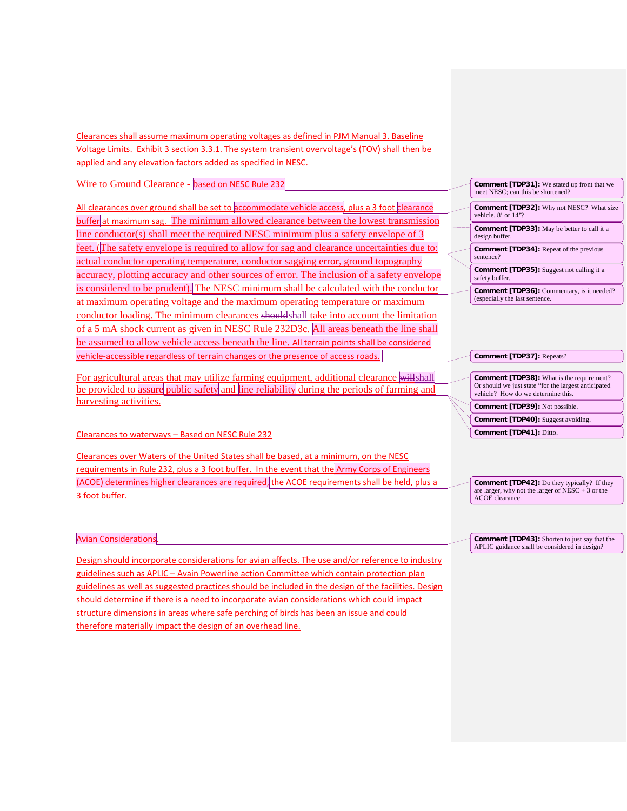Clearances shall assume maximum operating voltages as defined in PJM Manual 3. Baseline Voltage Limits. Exhibit 3 section 3.3.1. The system transient overvoltage's (TOV) shall then be applied and any elevation factors added as specified in NESC.

Wire to Ground Clearance - based on NESC Rule 232

All clearances over ground shall be set to accommodate vehicle access, plus a 3 foot clearance buffer at maximum sag. The minimum allowed clearance between the lowest transmission line conductor(s) shall meet the required NESC minimum plus a safety envelope of 3 feet. (The safety envelope is required to allow for sag and clearance uncertainties due to: actual conductor operating temperature, conductor sagging error, ground topography accuracy, plotting accuracy and other sources of error. The inclusion of a safety envelope is considered to be prudent). The NESC minimum shall be calculated with the conductor at maximum operating voltage and the maximum operating temperature or maximum conductor loading. The minimum clearances shouldshall take into account the limitation of a 5 mA shock current as given in NESC Rule 232D3c. All areas beneath the line shall be assumed to allow vehicle access beneath the line. All terrain points shall be considered vehicle-accessible regardless of terrain changes or the presence of access roads.

For agricultural areas that may utilize farming equipment, additional clearance willshall be provided to assure public safety and line reliability during the periods of farming and harvesting activities.

Clearances to waterways – Based on NESC Rule 232

Clearances over Waters of the United States shall be based, at a minimum, on the NESC requirements in Rule 232, plus a 3 foot buffer. In the event that the Army Corps of Engineers (ACOE) determines higher clearances are required, the ACOE requirements shall be held, plus a 3 foot buffer.

Avian Considerations.

Design should incorporate considerations for avian affects. The use and/or reference to industry guidelines such as APLIC – Avain Powerline action Committee which contain protection plan guidelines as well as suggested practices should be included in the design of the facilities. Design should determine if there is a need to incorporate avian considerations which could impact structure dimensions in areas where safe perching of birds has been an issue and could therefore materially impact the design of an overhead line.

| <b>Comment [TDP31]:</b> We stated up front that we<br>meet NESC: can this be shortened? |
|-----------------------------------------------------------------------------------------|
|                                                                                         |
| <b>Comment [TDP32]:</b> Why not NESC? What size<br>vehicle, 8' or 14'?                  |
|                                                                                         |
| <b>Comment [TDP33]:</b> May be better to call it a<br>design buffer.                    |
|                                                                                         |
| <b>Comment [TDP34]:</b> Repeat of the previous<br>sentence?                             |
|                                                                                         |
| <b>Comment [TDP35]:</b> Suggest not calling it a<br>safety buffer.                      |
|                                                                                         |
| <b>Comment [TDP36]:</b> Commentary, is it needed?<br>(especially the last sentence.     |
|                                                                                         |

#### **Comment [TDP37]:** Repeats?

**Comment [TDP38]:** What is the requirement? Or should we just state "for the largest anticipated vehicle? How do we determine this. **Comment [TDP39]:** Not possible.

**Comment [TDP40]:** Suggest avoiding.

**Comment [TDP41]:** Ditto.

**Comment [TDP42]:** Do they typically? If they are larger, why not the larger of NESC + 3 or the ACOE clearance.

**Comment [TDP43]:** Shorten to just say that the APLIC guidance shall be considered in design?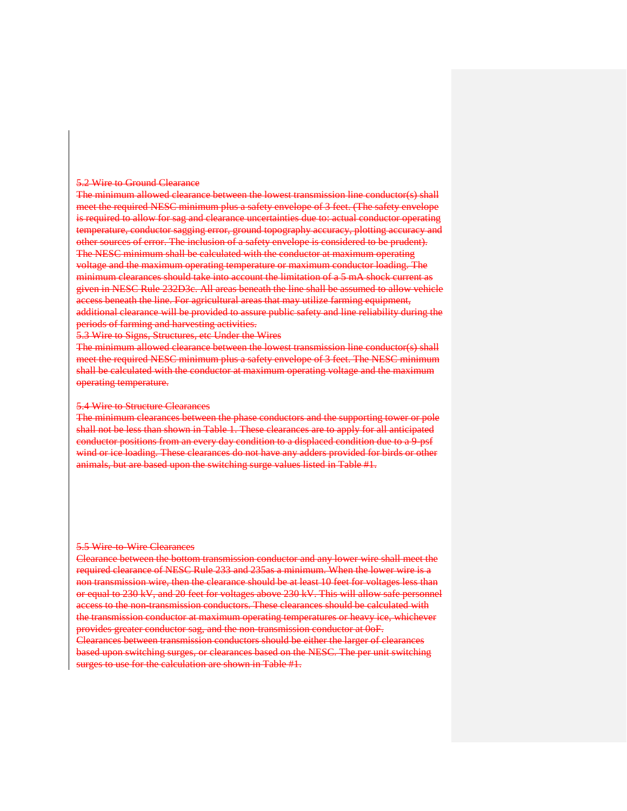#### 5.2 Wire to Ground Clearance

The minimum allowed clearance between the lowest transmission line conductor(s) shall meet the required NESC minimum plus a safety envelope of 3 feet. (The safety envelope is required to allow for sag and clearance uncertainties due to: actual conductor operating temperature, conductor sagging error, ground topography accuracy, plotting accuracy and other sources of error. The inclusion of a safety envelope is considered to be prudent). The NESC minimum shall be calculated with the conductor at maximum operating voltage and the maximum operating temperature or maximum conductor loading. The minimum clearances should take into account the limitation of a 5 mA shock current as given in NESC Rule 232D3c. All areas beneath the line shall be assumed to allow vehicle access beneath the line. For agricultural areas that may utilize farming equipment, additional clearance will be provided to assure public safety and line reliability during the periods of farming and harvesting activities.

5.3 Wire to Signs, Structures, etc Under the Wires

The minimum allowed clearance between the lowest transmission line conductor(s) shall meet the required NESC minimum plus a safety envelope of 3 feet. The NESC minimum shall be calculated with the conductor at maximum operating voltage and the maximum operating temperature.

### 5.4 Wire to Structure Clearances

The minimum clearances between the phase conductors and the supporting tower or pole shall not be less than shown in Table 1. These clearances are to apply for all anticipated conductor positions from an every day condition to a displaced condition due to a 9-psf wind or ice loading. These clearances do not have any adders provided for birds or other animals, but are based upon the switching surge values listed in Table #1.

### 5.5 Wire to Wire Clearances

Clearance between the bottom transmission conductor and any lower wire shall meet the required clearance of NESC Rule 233 and 235as a minimum. When the lower wire is a non transmission wire, then the clearance should be at least 10 feet for voltages less than or equal to 230 kV, and 20 feet for voltages above 230 kV. This will allow safe personnel access to the non-transmission conductors. These clearances should be calculated with the transmission conductor at maximum operating temperatures or heavy ice, whichever provides greater conductor sag, and the non-transmission conductor at 0oF. Clearances between transmission conductors should be either the larger of clearances based upon switching surges, or clearances based on the NESC. The per unit switching surges to use for the calculation are shown in Table #1.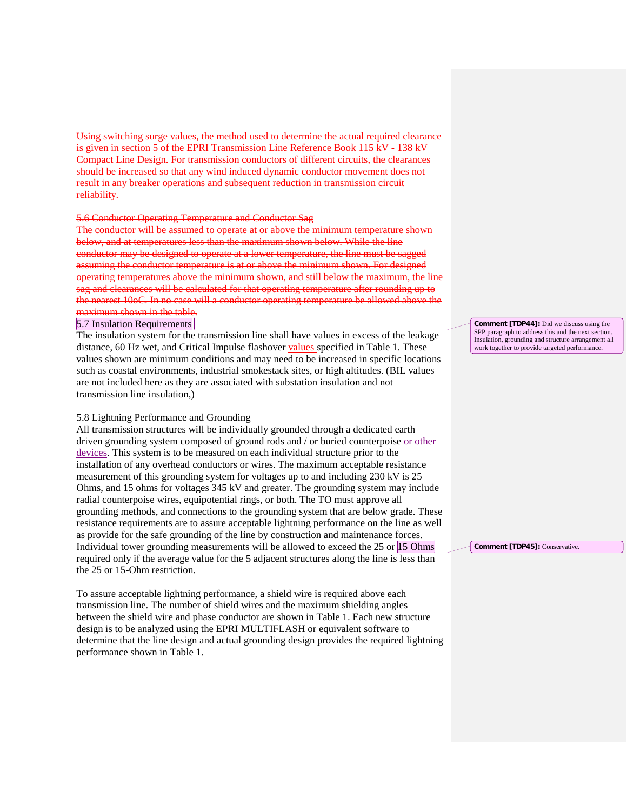the method used to determine the actual required is given in section 5 of the EPRI Transmission Line Reference Book 115 kV 138 kV Compact Line Design. For transmission conductors of different circuits, the clearances should be increased so that any wind induced dynamic conductor movement does not result in any breaker operations and subsequent reduction in transmission circuit reliability.

#### 5.6 Conductor Operating Temperature and Conductor Sag

The conductor will be assumed to operate at or above the minimum temperature shown below, and at temperatures less than the maximum shown below. While the line conductor may be designed to operate at a lower temperature, the line must be sagged assuming the conductor temperature is at or above the minimum shown. For designed operating temperatures above the minimum shown, and still below the maximum, the line sag and clearances will be calculated for that operating temperature after rounding up to the nearest 10oC. In no case will a conductor operating temperature be allowed above the maximum shown in the table.

5.7 Insulation Requirements

The insulation system for the transmission line shall have values in excess of the leakage distance, 60 Hz wet, and Critical Impulse flashover values specified in Table 1. These values shown are minimum conditions and may need to be increased in specific locations such as coastal environments, industrial smokestack sites, or high altitudes. (BIL values are not included here as they are associated with substation insulation and not transmission line insulation,)

### 5.8 Lightning Performance and Grounding

All transmission structures will be individually grounded through a dedicated earth driven grounding system composed of ground rods and / or buried counterpoise or other devices. This system is to be measured on each individual structure prior to the installation of any overhead conductors or wires. The maximum acceptable resistance measurement of this grounding system for voltages up to and including 230 kV is 25 Ohms, and 15 ohms for voltages 345 kV and greater. The grounding system may include radial counterpoise wires, equipotential rings, or both. The TO must approve all grounding methods, and connections to the grounding system that are below grade. These resistance requirements are to assure acceptable lightning performance on the line as well as provide for the safe grounding of the line by construction and maintenance forces. Individual tower grounding measurements will be allowed to exceed the 25 or 15 Ohms required only if the average value for the 5 adjacent structures along the line is less than the 25 or 15-Ohm restriction.

To assure acceptable lightning performance, a shield wire is required above each transmission line. The number of shield wires and the maximum shielding angles between the shield wire and phase conductor are shown in Table 1. Each new structure design is to be analyzed using the EPRI MULTIFLASH or equivalent software to determine that the line design and actual grounding design provides the required lightning performance shown in Table 1.

**Comment [TDP44]:** Did we discuss using the SPP paragraph to address this and the next section Insulation, grounding and structure arrangement all work together to provide targeted performance.

**Comment [TDP45]:** Conservative.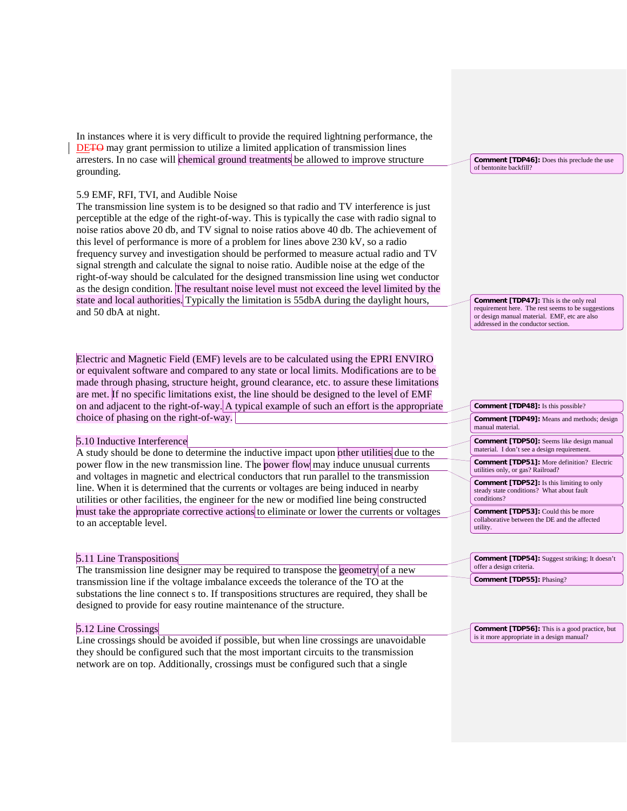In instances where it is very difficult to provide the required lightning performance, the DE<del>TO</del> may grant permission to utilize a limited application of transmission lines arresters. In no case will chemical ground treatments be allowed to improve structure grounding.

### 5.9 EMF, RFI, TVI, and Audible Noise

The transmission line system is to be designed so that radio and TV interference is just perceptible at the edge of the right-of-way. This is typically the case with radio signal to noise ratios above 20 db, and TV signal to noise ratios above 40 db. The achievement of this level of performance is more of a problem for lines above 230 kV, so a radio frequency survey and investigation should be performed to measure actual radio and TV signal strength and calculate the signal to noise ratio. Audible noise at the edge of the right-of-way should be calculated for the designed transmission line using wet conductor as the design condition. The resultant noise level must not exceed the level limited by the state and local authorities. Typically the limitation is 55dbA during the daylight hours, and 50 dbA at night.

Electric and Magnetic Field (EMF) levels are to be calculated using the EPRI ENVIRO or equivalent software and compared to any state or local limits. Modifications are to be made through phasing, structure height, ground clearance, etc. to assure these limitations are met. If no specific limitations exist, the line should be designed to the level of EMF on and adjacent to the right-of-way. A typical example of such an effort is the appropriate choice of phasing on the right-of-way.

## 5.10 Inductive Interference

A study should be done to determine the inductive impact upon other utilities due to the power flow in the new transmission line. The power flow may induce unusual currents and voltages in magnetic and electrical conductors that run parallel to the transmission line. When it is determined that the currents or voltages are being induced in nearby utilities or other facilities, the engineer for the new or modified line being constructed must take the appropriate corrective actions to eliminate or lower the currents or voltages to an acceptable level.

### 5.11 Line Transpositions

The transmission line designer may be required to transpose the geometry of a new transmission line if the voltage imbalance exceeds the tolerance of the TO at the substations the line connect s to. If transpositions structures are required, they shall be designed to provide for easy routine maintenance of the structure.

#### 5.12 Line Crossings

Line crossings should be avoided if possible, but when line crossings are unavoidable they should be configured such that the most important circuits to the transmission network are on top. Additionally, crossings must be configured such that a single

**Comment [TDP46]:** Does this preclude the use of bentonite backfill?

**Comment [TDP47]:** This is the only real requirement here. The rest seems to be suggestions or design manual material. EMF, etc are also addressed in the conductor section.

**Comment [TDP48]:** Is this possible?

**Comment [TDP49]:** Means and methods; design manual material.

**Comment [TDP50]:** Seems like design manual material. I don't see a design requirement.

**Comment [TDP51]:** More definition? Electric utilities only, or gas? Railroad?

**Comment [TDP52]:** Is this limiting to only steady state conditions? What about fault conditions?

**Comment [TDP53]:** Could this be more collaborative between the DE and the affected utility.

**Comment [TDP54]:** Suggest striking; It doesn't offer a design criteria. **Comment [TDP55]:** Phasing?

**Comment [TDP56]:** This is a good practice, but is it more appropriate in a design manual?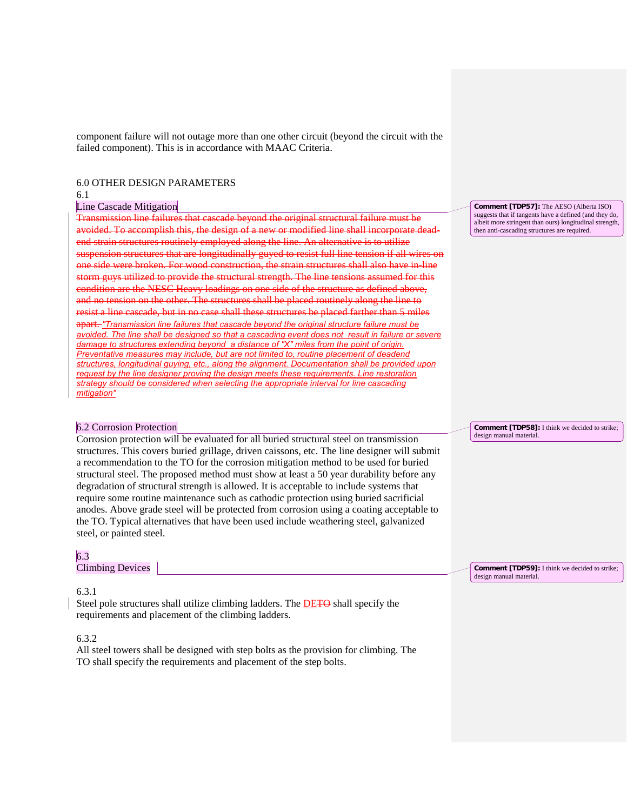component failure will not outage more than one other circuit (beyond the circuit with the failed component). This is in accordance with MAAC Criteria.

## 6.0 OTHER DESIGN PARAMETERS

#### 6.1

## Line Cascade Mitigation

Transmission line failures that cascade beyond the original structural failure must be avoided. To accomplish this, the design of a new or modified line shall incorporate deadend strain structures routinely employed along the line. An alternative is to utilize suspension structures that are longitudinally guyed to resist full line tension if all wires on one side were broken. For wood construction, the strain structures shall also have in-line m guys utilized to provide the structural strength. The line tensions assumed for this condition are the NESC Heavy loadings on one side of the structure as defined above, and no tension on the other. The structures shall be placed routinely along the line to resist a line cascade, but in no case shall these structures be placed farther than 5 miles apart. *"Transmission line failures that cascade beyond the original structure failure must be avoided. The line shall be designed so that a cascading event does not result in failure or sev damage to structures extending beyond a distance of "X" miles from the point of origin. Preventative measures may include, but are not limited to, routine placement of deadend structures, longitudinal guying, etc., along the alignment. Documentation shall be provided upon request by the line designer proving the design meets these requirements. Line restoration strategy should be considered when selecting the appropriate interval for line cascading mitigation"*

## 6.2 Corrosion Protection

Corrosion protection will be evaluated for all buried structural steel on transmission structures. This covers buried grillage, driven caissons, etc. The line designer will submit a recommendation to the TO for the corrosion mitigation method to be used for buried structural steel. The proposed method must show at least a 50 year durability before any degradation of structural strength is allowed. It is acceptable to include systems that require some routine maintenance such as cathodic protection using buried sacrificial anodes. Above grade steel will be protected from corrosion using a coating acceptable to the TO. Typical alternatives that have been used include weathering steel, galvanized steel, or painted steel.

## 6.3

Climbing Devices

## 6.3.1

Steel pole structures shall utilize climbing ladders. The **DETO** shall specify the requirements and placement of the climbing ladders.

## 6.3.2

All steel towers shall be designed with step bolts as the provision for climbing. The TO shall specify the requirements and placement of the step bolts.

**Comment [TDP57]:** The AESO (Alberta ISO) suggests that if tangents have a defined (and they do, albeit more stringent than ours) longitudinal strength, then anti-cascading structures are required.

**Comment [TDP58]:** I think we decided to strike; design manual material.

**Comment [TDP59]:** I think we decided to strike; design manual material.